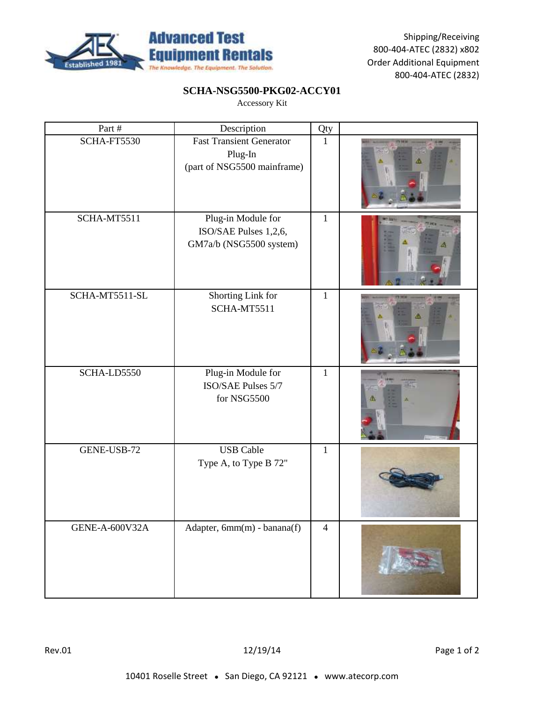

# **SCHA-NSG5500-PKG02-ACCY01**

| Part #                | Description                                                               | Qty            |               |
|-----------------------|---------------------------------------------------------------------------|----------------|---------------|
| SCHA-FT5530           | <b>Fast Transient Generator</b><br>Plug-In<br>(part of NSG5500 mainframe) | $\mathbf{1}$   |               |
| SCHA-MT5511           | Plug-in Module for<br>ISO/SAE Pulses 1,2,6,<br>GM7a/b (NSG5500 system)    | $\mathbf{1}$   | <b>MT USS</b> |
| SCHA-MT5511-SL        | Shorting Link for<br>SCHA-MT5511                                          | $\mathbf{1}$   |               |
| SCHA-LD5550           | Plug-in Module for<br>ISO/SAE Pulses 5/7<br>for NSG5500                   | $\mathbf{1}$   |               |
| GENE-USB-72           | <b>USB Cable</b><br>Type A, to Type B 72"                                 | $\mathbf{1}$   |               |
| <b>GENE-A-600V32A</b> | Adapter, 6mm(m) - banana(f)                                               | $\overline{4}$ |               |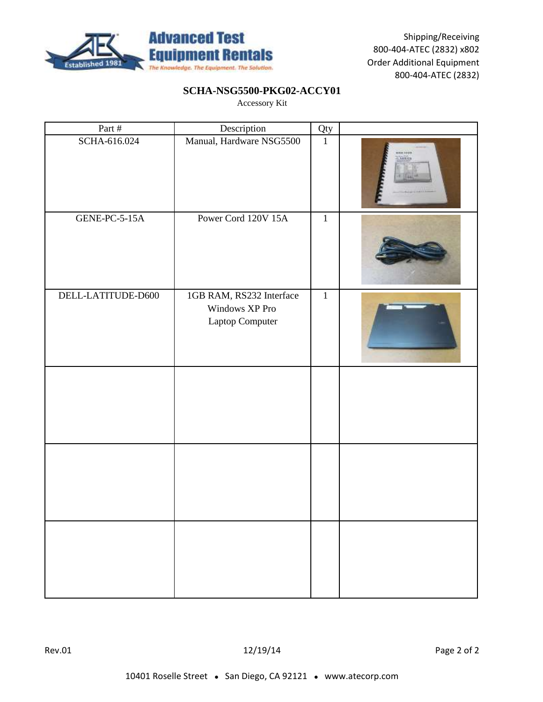

# **SCHA-NSG5500-PKG02-ACCY01**

| Part #             | Description                                                   | Qty          |                    |
|--------------------|---------------------------------------------------------------|--------------|--------------------|
| SCHA-616.024       | Manual, Hardware NSG5500                                      | $\mathbf{1}$ | 1144.108<br>AUTICE |
| GENE-PC-5-15A      | Power Cord 120V 15A                                           | $\mathbf{1}$ |                    |
| DELL-LATITUDE-D600 | 1GB RAM, RS232 Interface<br>Windows XP Pro<br>Laptop Computer | $\mathbf{1}$ |                    |
|                    |                                                               |              |                    |
|                    |                                                               |              |                    |
|                    |                                                               |              |                    |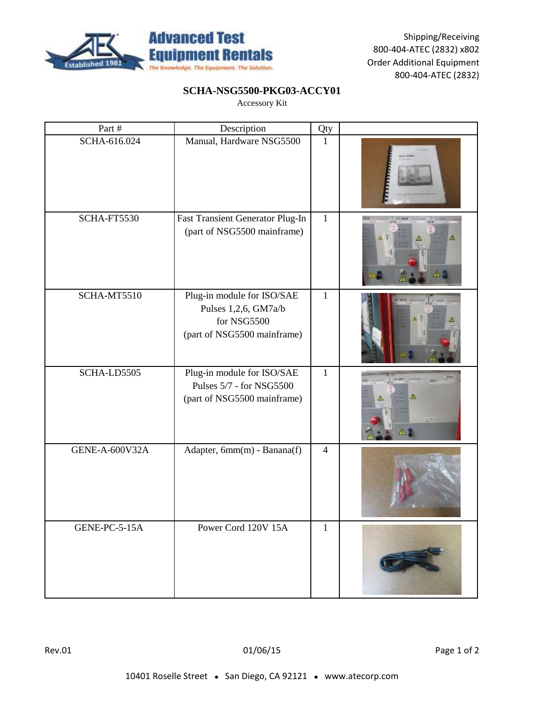

# **SCHA-NSG5500-PKG03-ACCY01**

| Part #                | Description                                                                                      | Qty            |    |
|-----------------------|--------------------------------------------------------------------------------------------------|----------------|----|
| SCHA-616.024          | Manual, Hardware NSG5500                                                                         | $\mathbf{1}$   |    |
| SCHA-FT5530           | <b>Fast Transient Generator Plug-In</b><br>(part of NSG5500 mainframe)                           | $\mathbf{1}$   |    |
| SCHA-MT5510           | Plug-in module for ISO/SAE<br>Pulses 1,2,6, GM7a/b<br>for NSG5500<br>(part of NSG5500 mainframe) | $\mathbf{1}$   |    |
| SCHA-LD5505           | Plug-in module for ISO/SAE<br>Pulses 5/7 - for NSG5500<br>(part of NSG5500 mainframe)            | $\mathbf{1}$   | æ. |
| <b>GENE-A-600V32A</b> | Adapter, 6mm(m) - Banana(f)                                                                      | $\overline{4}$ |    |
| GENE-PC-5-15A         | Power Cord 120V 15A                                                                              | $\mathbf{1}$   |    |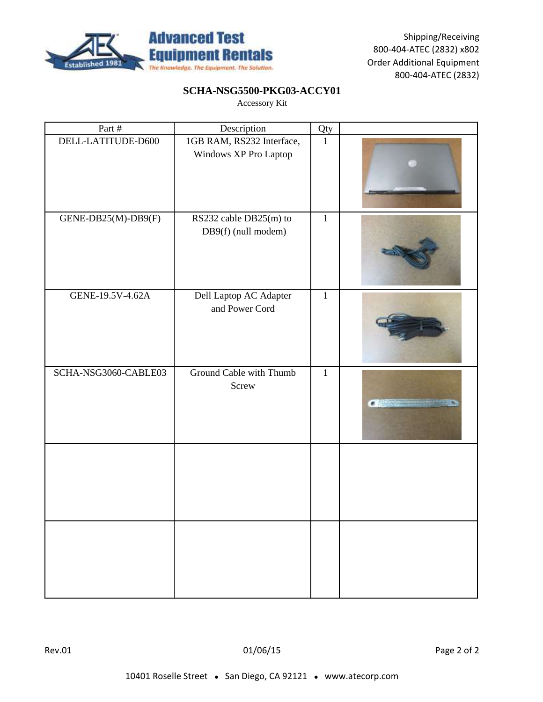

# **SCHA-NSG5500-PKG03-ACCY01**

| Part #               | Description                                        | Qty          |  |
|----------------------|----------------------------------------------------|--------------|--|
| DELL-LATITUDE-D600   | 1GB RAM, RS232 Interface,<br>Windows XP Pro Laptop | $\mathbf{1}$ |  |
| GENE-DB25(M)-DB9(F)  | RS232 cable DB25(m) to<br>DB9(f) (null modem)      | $\mathbf{1}$ |  |
| GENE-19.5V-4.62A     | Dell Laptop AC Adapter<br>and Power Cord           | $\mathbf{1}$ |  |
| SCHA-NSG3060-CABLE03 | Ground Cable with Thumb<br>Screw                   | $\mathbf{1}$ |  |
|                      |                                                    |              |  |
|                      |                                                    |              |  |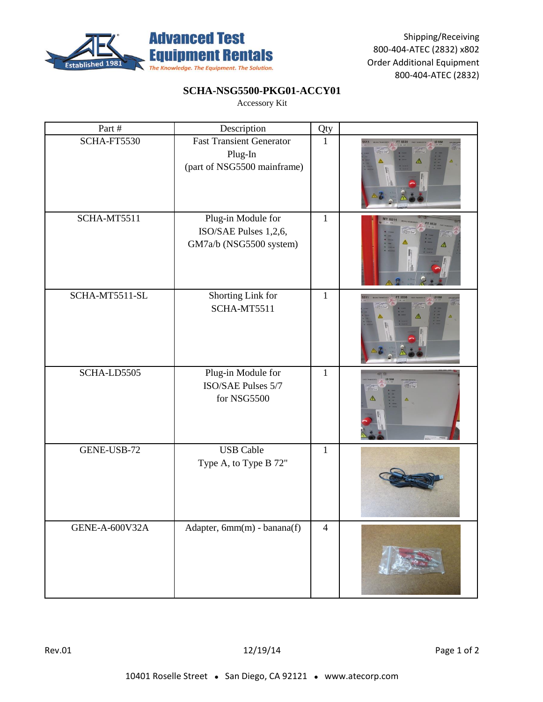

# **SCHA-NSG5500-PKG01-ACCY01**

| Part #                | Description                                                               | Qty            |         |
|-----------------------|---------------------------------------------------------------------------|----------------|---------|
| SCHA-FT5530           | <b>Fast Transient Generator</b><br>Plug-In<br>(part of NSG5500 mainframe) | $\mathbf{1}$   |         |
| SCHA-MT5511           | Plug-in Module for<br>ISO/SAE Pulses 1,2,6,<br>GM7a/b (NSG5500 system)    | $\mathbf{1}$   | MT 5511 |
| SCHA-MT5511-SL        | Shorting Link for<br>SCHA-MT5511                                          | $\mathbf{1}$   |         |
| SCHA-LD5505           | Plug-in Module for<br>ISO/SAE Pulses 5/7<br>for NSG5500                   | $\mathbf{1}$   |         |
| GENE-USB-72           | <b>USB</b> Cable<br>Type A, to Type B 72"                                 | $\mathbf{1}$   |         |
| <b>GENE-A-600V32A</b> | Adapter, 6mm(m) - banana(f)                                               | $\overline{4}$ |         |